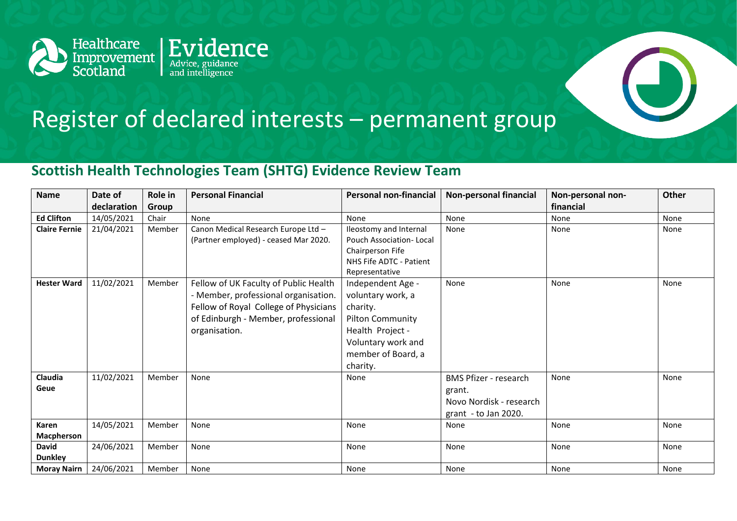

## Register of declared interests – permanent group

## **Scottish Health Technologies Team (SHTG) Evidence Review Team**

| <b>Name</b>                    | Date of     | Role in | <b>Personal Financial</b>                                                                                                                                                      | <b>Personal non-financial</b>                                                                                                                             | <b>Non-personal financial</b>                                                             | Non-personal non- | <b>Other</b> |
|--------------------------------|-------------|---------|--------------------------------------------------------------------------------------------------------------------------------------------------------------------------------|-----------------------------------------------------------------------------------------------------------------------------------------------------------|-------------------------------------------------------------------------------------------|-------------------|--------------|
|                                | declaration | Group   |                                                                                                                                                                                |                                                                                                                                                           |                                                                                           | financial         |              |
| <b>Ed Clifton</b>              | 14/05/2021  | Chair   | None                                                                                                                                                                           | None                                                                                                                                                      | None                                                                                      | None              | None         |
| <b>Claire Fernie</b>           | 21/04/2021  | Member  | Canon Medical Research Europe Ltd -<br>(Partner employed) - ceased Mar 2020.                                                                                                   | Ileostomy and Internal<br>Pouch Association-Local<br>Chairperson Fife<br>NHS Fife ADTC - Patient<br>Representative                                        | None                                                                                      | None              | None         |
| <b>Hester Ward</b>             | 11/02/2021  | Member  | Fellow of UK Faculty of Public Health<br>- Member, professional organisation.<br>Fellow of Royal College of Physicians<br>of Edinburgh - Member, professional<br>organisation. | Independent Age -<br>voluntary work, a<br>charity.<br><b>Pilton Community</b><br>Health Project -<br>Voluntary work and<br>member of Board, a<br>charity. | None                                                                                      | None              | None         |
| Claudia<br>Geue                | 11/02/2021  | Member  | None                                                                                                                                                                           | None                                                                                                                                                      | <b>BMS Pfizer - research</b><br>grant.<br>Novo Nordisk - research<br>grant - to Jan 2020. | None              | None         |
| Karen<br>Macpherson            | 14/05/2021  | Member  | None                                                                                                                                                                           | None                                                                                                                                                      | None                                                                                      | None              | None         |
| <b>David</b><br><b>Dunkley</b> | 24/06/2021  | Member  | None                                                                                                                                                                           | None                                                                                                                                                      | None                                                                                      | None              | None         |
| <b>Moray Nairn</b>             | 24/06/2021  | Member  | None                                                                                                                                                                           | None                                                                                                                                                      | None                                                                                      | None              | None         |